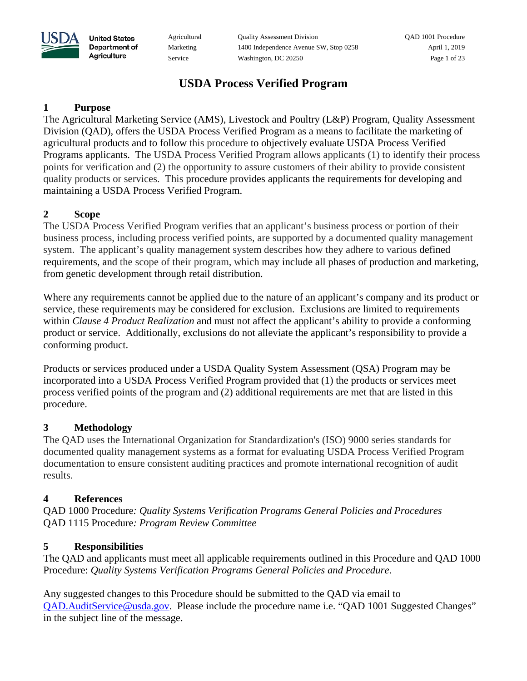Agricultural Quality Assessment Division QAD 1001 Procedure Marketing 1400 Independence Avenue SW, Stop 0258 April 1, 2019 Service Washington, DC 20250 Page 1 of 23

# **USDA Process Verified Program**

### **1 Purpose**

**United States** Department of Agriculture

The Agricultural Marketing Service (AMS), Livestock and Poultry (L&P) Program, Quality Assessment Division (QAD), offers the USDA Process Verified Program as a means to facilitate the marketing of agricultural products and to follow this procedure to objectively evaluate USDA Process Verified Programs applicants. The USDA Process Verified Program allows applicants (1) to identify their process points for verification and (2) the opportunity to assure customers of their ability to provide consistent quality products or services. This procedure provides applicants the requirements for developing and maintaining a USDA Process Verified Program.

### **2 Scope**

The USDA Process Verified Program verifies that an applicant's business process or portion of their business process, including process verified points, are supported by a documented quality management system. The applicant's quality management system describes how they adhere to various defined requirements, and the scope of their program, which may include all phases of production and marketing, from genetic development through retail distribution.

Where any requirements cannot be applied due to the nature of an applicant's company and its product or service, these requirements may be considered for exclusion. Exclusions are limited to requirements within *Clause 4 Product Realization* and must not affect the applicant's ability to provide a conforming product or service. Additionally, exclusions do not alleviate the applicant's responsibility to provide a conforming product.

Products or services produced under a USDA Quality System Assessment (QSA) Program may be incorporated into a USDA Process Verified Program provided that (1) the products or services meet process verified points of the program and (2) additional requirements are met that are listed in this procedure.

### **3 Methodology**

The QAD uses the International Organization for Standardization's (ISO) 9000 series standards for documented quality management systems as a format for evaluating USDA Process Verified Program documentation to ensure consistent auditing practices and promote international recognition of audit results.

### **4 References**

QAD 1000 Procedure*: Quality Systems Verification Programs General Policies and Procedures*  QAD 1115 Procedure*: Program Review Committee*

### **5 Responsibilities**

The QAD and applicants must meet all applicable requirements outlined in this Procedure and QAD 1000 Procedure: *Quality Systems Verification Programs General Policies and Procedure*.

Any suggested changes to this Procedure should be submitted to the QAD via email to [QAD.AuditService@usda.gov.](mailto:QAD.AuditService@usda.gov) Please include the procedure name i.e. "QAD 1001 Suggested Changes" in the subject line of the message.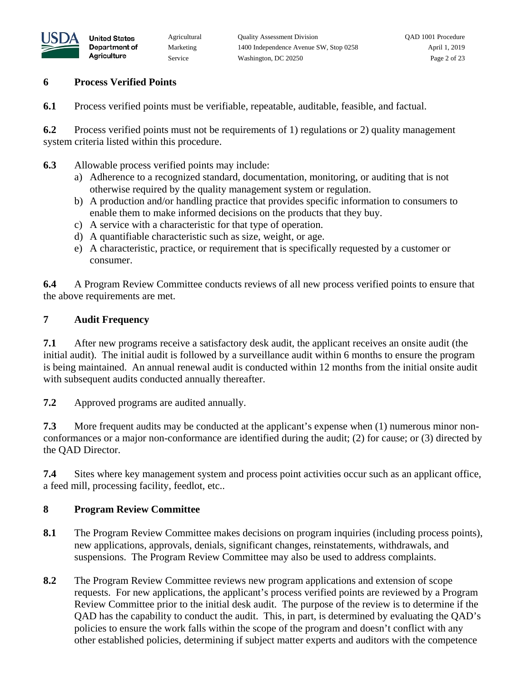

### **6 Process Verified Points**

**United States** Department of Agriculture

**6.1** Process verified points must be verifiable, repeatable, auditable, feasible, and factual.

**6.2** Process verified points must not be requirements of 1) regulations or 2) quality management system criteria listed within this procedure.

- **6.3** Allowable process verified points may include:
	- a) Adherence to a recognized standard, documentation, monitoring, or auditing that is not otherwise required by the quality management system or regulation.
	- b) A production and/or handling practice that provides specific information to consumers to enable them to make informed decisions on the products that they buy.
	- c) A service with a characteristic for that type of operation.
	- d) A quantifiable characteristic such as size, weight, or age.
	- e) A characteristic, practice, or requirement that is specifically requested by a customer or consumer.

**6.4** A Program Review Committee conducts reviews of all new process verified points to ensure that the above requirements are met.

#### **7 Audit Frequency**

**7.1** After new programs receive a satisfactory desk audit, the applicant receives an onsite audit (the initial audit). The initial audit is followed by a surveillance audit within 6 months to ensure the program is being maintained. An annual renewal audit is conducted within 12 months from the initial onsite audit with subsequent audits conducted annually thereafter.

**7.2** Approved programs are audited annually.

**7.3** More frequent audits may be conducted at the applicant's expense when (1) numerous minor nonconformances or a major non-conformance are identified during the audit; (2) for cause; or (3) directed by the QAD Director.

**7.4** Sites where key management system and process point activities occur such as an applicant office, a feed mill, processing facility, feedlot, etc..

#### **8 Program Review Committee**

- **8.1** The Program Review Committee makes decisions on program inquiries (including process points), new applications, approvals, denials, significant changes, reinstatements, withdrawals, and suspensions. The Program Review Committee may also be used to address complaints.
- **8.2** The Program Review Committee reviews new program applications and extension of scope requests. For new applications, the applicant's process verified points are reviewed by a Program Review Committee prior to the initial desk audit. The purpose of the review is to determine if the QAD has the capability to conduct the audit. This, in part, is determined by evaluating the QAD's policies to ensure the work falls within the scope of the program and doesn't conflict with any other established policies, determining if subject matter experts and auditors with the competence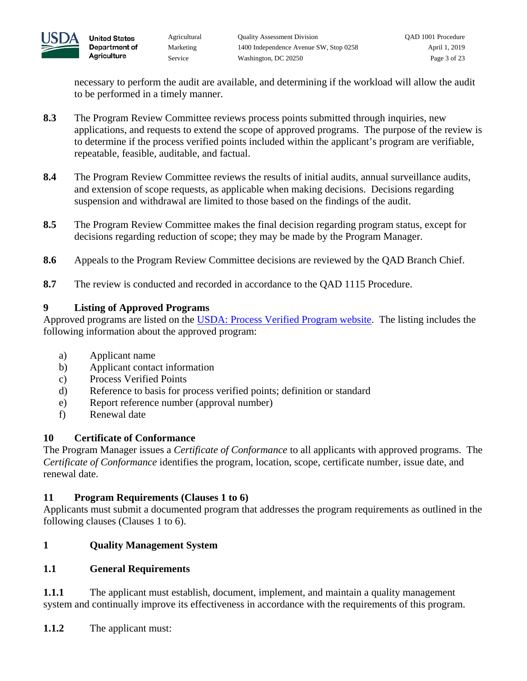

necessary to perform the audit are available, and determining if the workload will allow the audit to be performed in a timely manner.

- **8.3** The Program Review Committee reviews process points submitted through inquiries, new applications, and requests to extend the scope of approved programs. The purpose of the review is to determine if the process verified points included within the applicant's program are verifiable, repeatable, feasible, auditable, and factual.
- **8.4** The Program Review Committee reviews the results of initial audits, annual surveillance audits, and extension of scope requests, as applicable when making decisions. Decisions regarding suspension and withdrawal are limited to those based on the findings of the audit.
- **8.5** The Program Review Committee makes the final decision regarding program status, except for decisions regarding reduction of scope; they may be made by the Program Manager.
- **8.6** Appeals to the Program Review Committee decisions are reviewed by the QAD Branch Chief.
- **8.7** The review is conducted and recorded in accordance to the QAD 1115 Procedure.

### **9 Listing of Approved Programs**

Approved programs are listed on the [USDA: Process Verified Program website.](https://www.ams.usda.gov/services/auditing/process-verified-programs) The listing includes the following information about the approved program:

- a) Applicant name
- b) Applicant contact information
- c) Process Verified Points
- d) Reference to basis for process verified points; definition or standard
- e) Report reference number (approval number)
- f) Renewal date

## **10 Certificate of Conformance**

The Program Manager issues a *Certificate of Conformance* to all applicants with approved programs. The *Certificate of Conformance* identifies the program, location, scope, certificate number, issue date, and renewal date.

### **11 Program Requirements (Clauses 1 to 6)**

Applicants must submit a documented program that addresses the program requirements as outlined in the following clauses (Clauses 1 to 6).

## **1 Quality Management System**

## **1.1 General Requirements**

**1.1.1** The applicant must establish, document, implement, and maintain a quality management system and continually improve its effectiveness in accordance with the requirements of this program.

**1.1.2** The applicant must: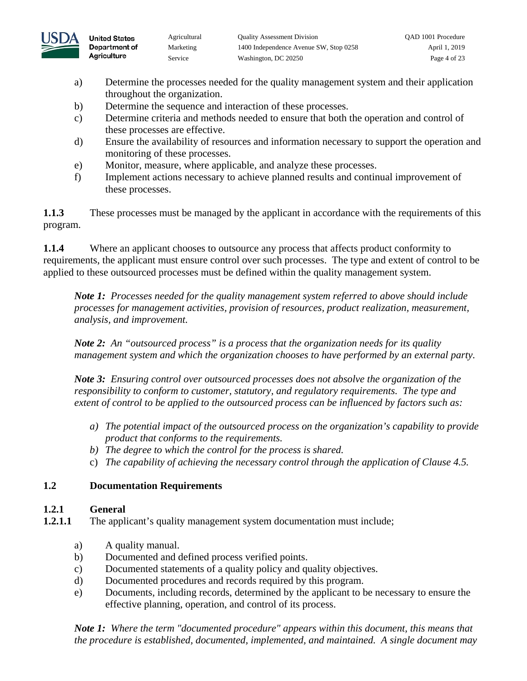

**United States** 

Agriculture

- a) Determine the processes needed for the quality management system and their application throughout the organization.
- b) Determine the sequence and interaction of these processes.
- c) Determine criteria and methods needed to ensure that both the operation and control of these processes are effective.
- d) Ensure the availability of resources and information necessary to support the operation and monitoring of these processes.
- e) Monitor, measure, where applicable, and analyze these processes.
- f) Implement actions necessary to achieve planned results and continual improvement of these processes.

**1.1.3** These processes must be managed by the applicant in accordance with the requirements of this program.

**1.1.4** Where an applicant chooses to outsource any process that affects product conformity to requirements, the applicant must ensure control over such processes. The type and extent of control to be applied to these outsourced processes must be defined within the quality management system.

*Note 1: Processes needed for the quality management system referred to above should include processes for management activities, provision of resources, product realization, measurement, analysis, and improvement.* 

*Note 2: An "outsourced process" is a process that the organization needs for its quality management system and which the organization chooses to have performed by an external party.* 

*Note 3: Ensuring control over outsourced processes does not absolve the organization of the responsibility to conform to customer, statutory, and regulatory requirements. The type and extent of control to be applied to the outsourced process can be influenced by factors such as:* 

- *a) The potential impact of the outsourced process on the organization's capability to provide product that conforms to the requirements.*
- *b) The degree to which the control for the process is shared.*
- c) *The capability of achieving the necessary control through the application of Clause 4.5.*

# **1.2 Documentation Requirements**

## **1.2.1 General**

- **1.2.1.1** The applicant's quality management system documentation must include;
	- a) A quality manual.
	- b) Documented and defined process verified points.
	- c) Documented statements of a quality policy and quality objectives.
	- d) Documented procedures and records required by this program.
	- e) Documents, including records, determined by the applicant to be necessary to ensure the effective planning, operation, and control of its process.

*Note 1: Where the term "documented procedure" appears within this document, this means that the procedure is established, documented, implemented, and maintained. A single document may*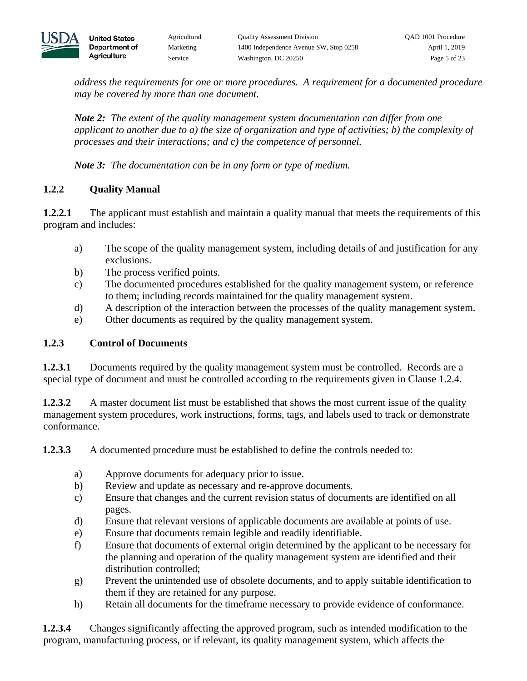

*address the requirements for one or more procedures. A requirement for a documented procedure may be covered by more than one document.* 

*Note 2: The extent of the quality management system documentation can differ from one applicant to another due to a) the size of organization and type of activities; b) the complexity of processes and their interactions; and c) the competence of personnel.*

*Note 3: The documentation can be in any form or type of medium.*

# **1.2.2 Quality Manual**

**United States** Department of Agriculture

**1.2.2.1** The applicant must establish and maintain a quality manual that meets the requirements of this program and includes:

- a) The scope of the quality management system, including details of and justification for any exclusions.
- b) The process verified points.
- c) The documented procedures established for the quality management system, or reference to them; including records maintained for the quality management system.
- d) A description of the interaction between the processes of the quality management system.
- e) Other documents as required by the quality management system.

## **1.2.3 Control of Documents**

**1.2.3.1** Documents required by the quality management system must be controlled. Records are a special type of document and must be controlled according to the requirements given in Clause 1.2.4.

**1.2.3.2** A master document list must be established that shows the most current issue of the quality management system procedures, work instructions, forms, tags, and labels used to track or demonstrate conformance.

**1.2.3.3** A documented procedure must be established to define the controls needed to:

- a) Approve documents for adequacy prior to issue.
- b) Review and update as necessary and re-approve documents.
- c) Ensure that changes and the current revision status of documents are identified on all pages.
- d) Ensure that relevant versions of applicable documents are available at points of use.
- e) Ensure that documents remain legible and readily identifiable.
- f) Ensure that documents of external origin determined by the applicant to be necessary for the planning and operation of the quality management system are identified and their distribution controlled;
- g) Prevent the unintended use of obsolete documents, and to apply suitable identification to them if they are retained for any purpose.
- h) Retain all documents for the timeframe necessary to provide evidence of conformance.

**1.2.3.4** Changes significantly affecting the approved program, such as intended modification to the program, manufacturing process, or if relevant, its quality management system, which affects the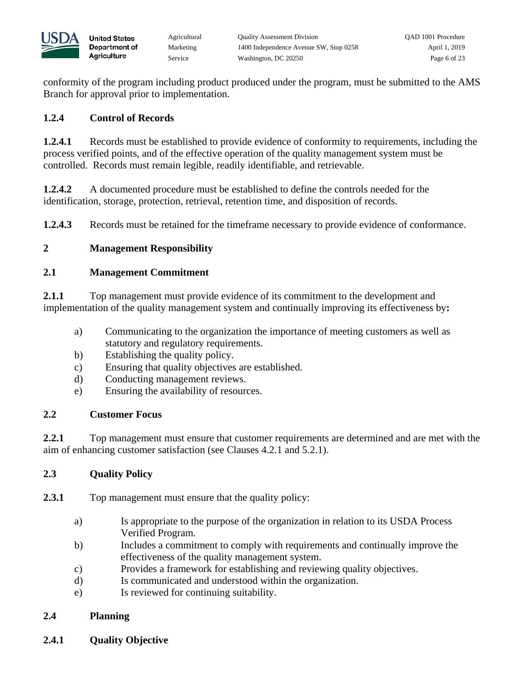

conformity of the program including product produced under the program, must be submitted to the AMS Branch for approval prior to implementation.

## **1.2.4 Control of Records**

**United States** Department of Agriculture

**1.2.4.1** Records must be established to provide evidence of conformity to requirements, including the process verified points, and of the effective operation of the quality management system must be controlled. Records must remain legible, readily identifiable, and retrievable.

**1.2.4.2** A documented procedure must be established to define the controls needed for the identification, storage, protection, retrieval, retention time, and disposition of records.

**1.2.4.3** Records must be retained for the timeframe necessary to provide evidence of conformance.

# **2 Management Responsibility**

## **2.1 Management Commitment**

**2.1.1** Top management must provide evidence of its commitment to the development and implementation of the quality management system and continually improving its effectiveness by**:** 

- a) Communicating to the organization the importance of meeting customers as well as statutory and regulatory requirements.
- b) Establishing the quality policy.
- c) Ensuring that quality objectives are established.
- d) Conducting management reviews.
- e) Ensuring the availability of resources.

### **2.2 Customer Focus**

**2.2.1** Top management must ensure that customer requirements are determined and are met with the aim of enhancing customer satisfaction (see Clauses 4.2.1 and 5.2.1).

## **2.3 Quality Policy**

**2.3.1** Top management must ensure that the quality policy:

- a) Is appropriate to the purpose of the organization in relation to its USDA Process Verified Program.
- b) Includes a commitment to comply with requirements and continually improve the effectiveness of the quality management system.
- c) Provides a framework for establishing and reviewing quality objectives.
- d) Is communicated and understood within the organization.
- e) Is reviewed for continuing suitability.

## **2.4 Planning**

**2.4.1 Quality Objective**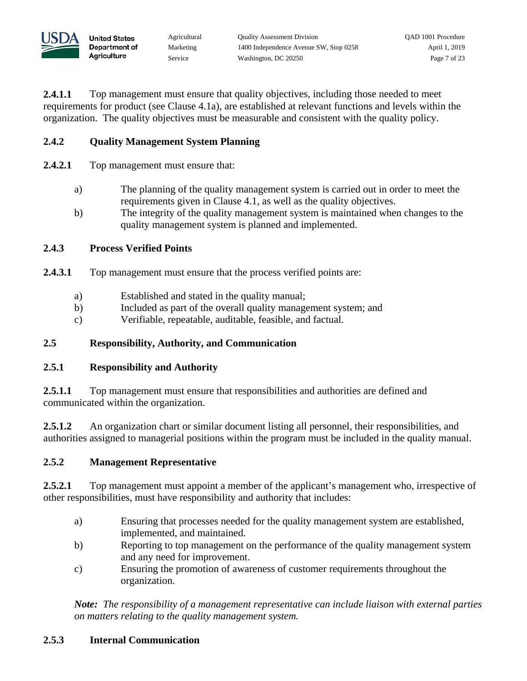

**2.4.1.1** Top management must ensure that quality objectives, including those needed to meet requirements for product (see Clause 4.1a), are established at relevant functions and levels within the organization. The quality objectives must be measurable and consistent with the quality policy.

## **2.4.2 Quality Management System Planning**

- **2.4.2.1** Top management must ensure that:
	- a) The planning of the quality management system is carried out in order to meet the requirements given in Clause 4.1, as well as the quality objectives.
	- b) The integrity of the quality management system is maintained when changes to the quality management system is planned and implemented.

### **2.4.3 Process Verified Points**

**United States** Department of Agriculture

- **2.4.3.1** Top management must ensure that the process verified points are:
	- a) Established and stated in the quality manual;
	- b) Included as part of the overall quality management system; and
	- c) Verifiable, repeatable, auditable, feasible, and factual.

### **2.5 Responsibility, Authority, and Communication**

### **2.5.1 Responsibility and Authority**

2.5.1.1 Top management must ensure that responsibilities and authorities are defined and communicated within the organization.

2.5.1.2 An organization chart or similar document listing all personnel, their responsibilities, and authorities assigned to managerial positions within the program must be included in the quality manual.

#### **2.5.2 Management Representative**

**2.5.2.1** Top management must appoint a member of the applicant's management who, irrespective of other responsibilities, must have responsibility and authority that includes:

- a) Ensuring that processes needed for the quality management system are established, implemented, and maintained.
- b) Reporting to top management on the performance of the quality management system and any need for improvement.
- c) Ensuring the promotion of awareness of customer requirements throughout the organization.

*Note: The responsibility of a management representative can include liaison with external parties on matters relating to the quality management system.* 

### **2.5.3 Internal Communication**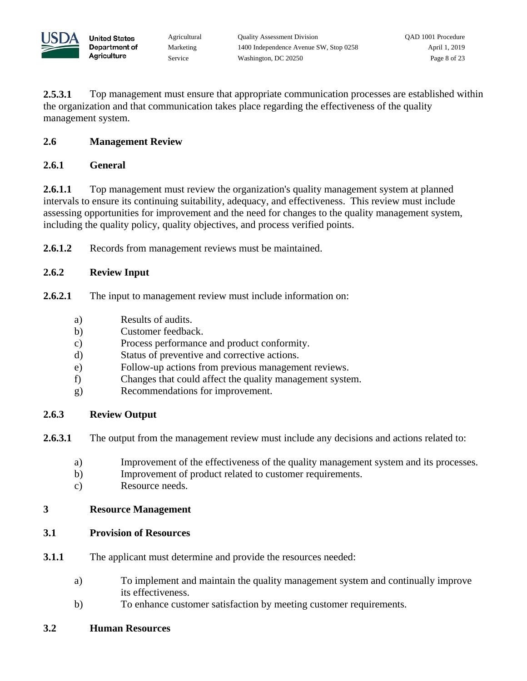

**2.5.3.1** Top management must ensure that appropriate communication processes are established within the organization and that communication takes place regarding the effectiveness of the quality management system.

### **2.6 Management Review**

**United States** Department of Agriculture

### **2.6.1 General**

**2.6.1.1** Top management must review the organization's quality management system at planned intervals to ensure its continuing suitability, adequacy, and effectiveness. This review must include assessing opportunities for improvement and the need for changes to the quality management system, including the quality policy, quality objectives, and process verified points.

**2.6.1.2** Records from management reviews must be maintained.

### **2.6.2 Review Input**

- **2.6.2.1** The input to management review must include information on:
	- a) Results of audits.
	- b) Customer feedback.
	- c) Process performance and product conformity.
	- d) Status of preventive and corrective actions.
	- e) Follow-up actions from previous management reviews.
	- f) Changes that could affect the quality management system.
	- g) Recommendations for improvement.

### **2.6.3 Review Output**

**2.6.3.1** The output from the management review must include any decisions and actions related to:

- a) Improvement of the effectiveness of the quality management system and its processes.
- b) Improvement of product related to customer requirements.
- c) Resource needs.

### **3 Resource Management**

### **3.1 Provision of Resources**

- **3.1.1** The applicant must determine and provide the resources needed:
	- a) To implement and maintain the quality management system and continually improve its effectiveness.
	- b) To enhance customer satisfaction by meeting customer requirements.

#### **3.2 Human Resources**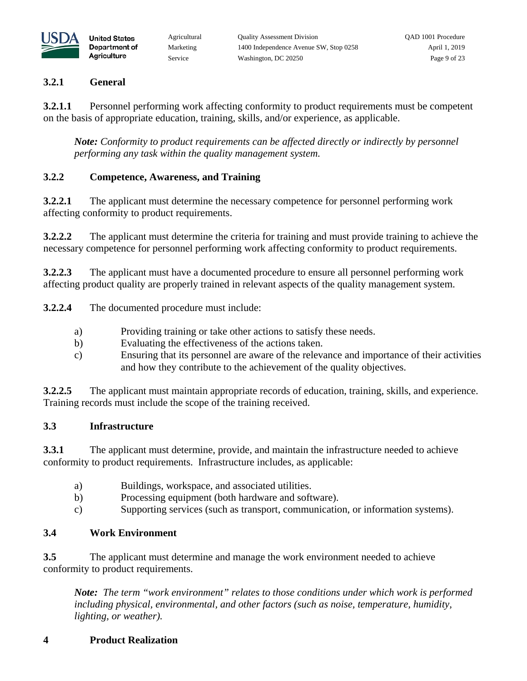

### **3.2.1 General**

**United States** Department of Agriculture

**3.2.1.1** Personnel performing work affecting conformity to product requirements must be competent on the basis of appropriate education, training, skills, and/or experience, as applicable.

*Note: Conformity to product requirements can be affected directly or indirectly by personnel performing any task within the quality management system.* 

# **3.2.2 Competence, Awareness, and Training**

**3.2.2.1** The applicant must determine the necessary competence for personnel performing work affecting conformity to product requirements.

**3.2.2.2** The applicant must determine the criteria for training and must provide training to achieve the necessary competence for personnel performing work affecting conformity to product requirements.

**3.2.2.3** The applicant must have a documented procedure to ensure all personnel performing work affecting product quality are properly trained in relevant aspects of the quality management system.

**3.2.2.4** The documented procedure must include:

- a) Providing training or take other actions to satisfy these needs.
- b) Evaluating the effectiveness of the actions taken.
- c) Ensuring that its personnel are aware of the relevance and importance of their activities and how they contribute to the achievement of the quality objectives.

**3.2.2.5** The applicant must maintain appropriate records of education, training, skills, and experience. Training records must include the scope of the training received.

## **3.3 Infrastructure**

**3.3.1** The applicant must determine, provide, and maintain the infrastructure needed to achieve conformity to product requirements. Infrastructure includes, as applicable:

- a) Buildings, workspace, and associated utilities.
- b) Processing equipment (both hardware and software).
- c) Supporting services (such as transport, communication, or information systems).

## **3.4 Work Environment**

**3.5** The applicant must determine and manage the work environment needed to achieve conformity to product requirements.

*Note: The term "work environment" relates to those conditions under which work is performed including physical, environmental, and other factors (such as noise, temperature, humidity, lighting, or weather).*

## **4 Product Realization**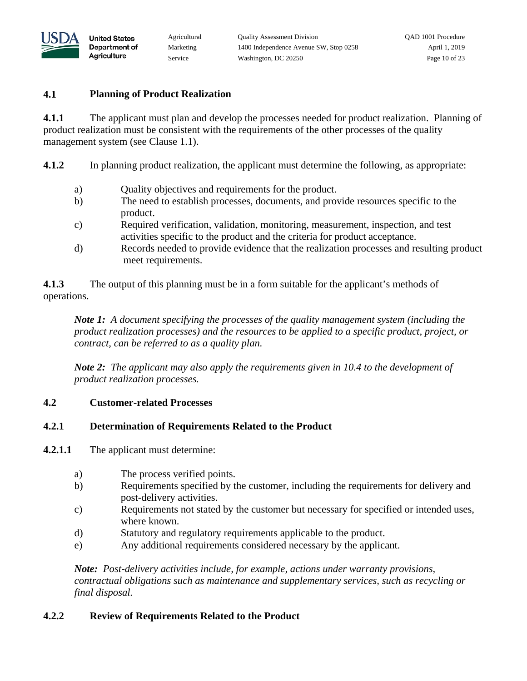

#### **4.1 Planning of Product Realization**

**United States** Department of Agriculture

**4.1.1** The applicant must plan and develop the processes needed for product realization. Planning of product realization must be consistent with the requirements of the other processes of the quality management system (see Clause 1.1).

**4.1.2** In planning product realization, the applicant must determine the following, as appropriate:

- a) Quality objectives and requirements for the product.
- b) The need to establish processes, documents, and provide resources specific to the product.
- c) Required verification, validation, monitoring, measurement, inspection, and test activities specific to the product and the criteria for product acceptance.
- d) Records needed to provide evidence that the realization processes and resulting product meet requirements.

**4.1.3** The output of this planning must be in a form suitable for the applicant's methods of operations.

*Note 1: A document specifying the processes of the quality management system (including the product realization processes) and the resources to be applied to a specific product, project, or contract, can be referred to as a quality plan.* 

*Note 2: The applicant may also apply the requirements given in 10.4 to the development of product realization processes.*

### **4.2 Customer-related Processes**

#### **4.2.1 Determination of Requirements Related to the Product**

- **4.2.1.1** The applicant must determine:
	- a) The process verified points.
	- b) Requirements specified by the customer, including the requirements for delivery and post-delivery activities.
	- c) Requirements not stated by the customer but necessary for specified or intended uses, where known.
	- d) Statutory and regulatory requirements applicable to the product.
	- e) Any additional requirements considered necessary by the applicant.

*Note: Post-delivery activities include, for example, actions under warranty provisions, contractual obligations such as maintenance and supplementary services, such as recycling or final disposal.* 

### **4.2.2 Review of Requirements Related to the Product**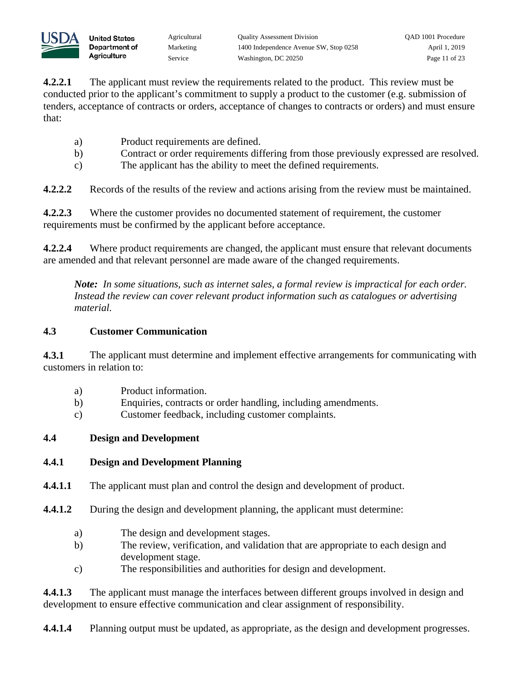

**4.2.2.1** The applicant must review the requirements related to the product. This review must be conducted prior to the applicant's commitment to supply a product to the customer (e.g. submission of tenders, acceptance of contracts or orders, acceptance of changes to contracts or orders) and must ensure that:

- a) Product requirements are defined.
- b) Contract or order requirements differing from those previously expressed are resolved.
- c) The applicant has the ability to meet the defined requirements.

**4.2.2.2** Records of the results of the review and actions arising from the review must be maintained.

**4.2.2.3** Where the customer provides no documented statement of requirement, the customer requirements must be confirmed by the applicant before acceptance.

**4.2.2.4** Where product requirements are changed, the applicant must ensure that relevant documents are amended and that relevant personnel are made aware of the changed requirements.

*Note: In some situations, such as internet sales, a formal review is impractical for each order. Instead the review can cover relevant product information such as catalogues or advertising material.*

## **4.3 Customer Communication**

**4.3.1** The applicant must determine and implement effective arrangements for communicating with customers in relation to:

- a) Product information.
- b) Enquiries, contracts or order handling, including amendments.
- c) Customer feedback, including customer complaints.

## **4.4 Design and Development**

## **4.4.1 Design and Development Planning**

- **4.4.1.1** The applicant must plan and control the design and development of product.
- **4.4.1.2** During the design and development planning, the applicant must determine:
	- a) The design and development stages.
	- b) The review, verification, and validation that are appropriate to each design and development stage.
	- c) The responsibilities and authorities for design and development.

**4.4.1.3** The applicant must manage the interfaces between different groups involved in design and development to ensure effective communication and clear assignment of responsibility.

**4.4.1.4** Planning output must be updated, as appropriate, as the design and development progresses.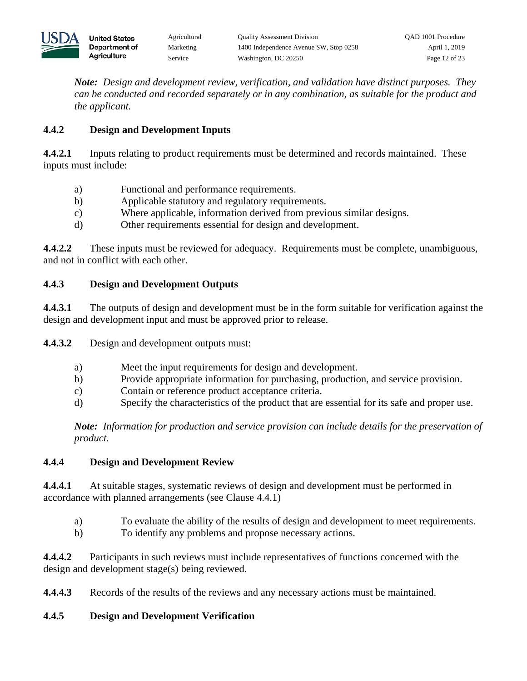

*Note: Design and development review, verification, and validation have distinct purposes. They can be conducted and recorded separately or in any combination, as suitable for the product and the applicant.* 

### **4.4.2 Design and Development Inputs**

**4.4.2.1** Inputs relating to product requirements must be determined and records maintained. These inputs must include:

- a) Functional and performance requirements.
- b) Applicable statutory and regulatory requirements.
- c) Where applicable, information derived from previous similar designs.
- d) Other requirements essential for design and development.

**4.4.2.2** These inputs must be reviewed for adequacy. Requirements must be complete, unambiguous, and not in conflict with each other.

### **4.4.3 Design and Development Outputs**

**4.4.3.1** The outputs of design and development must be in the form suitable for verification against the design and development input and must be approved prior to release.

**4.4.3.2** Design and development outputs must:

- a) Meet the input requirements for design and development.
- b) Provide appropriate information for purchasing, production, and service provision.
- c) Contain or reference product acceptance criteria.
- d) Specify the characteristics of the product that are essential for its safe and proper use.

*Note: Information for production and service provision can include details for the preservation of product.* 

### **4.4.4 Design and Development Review**

**4.4.4.1** At suitable stages, systematic reviews of design and development must be performed in accordance with planned arrangements (see Clause 4.4.1)

- a) To evaluate the ability of the results of design and development to meet requirements.
- b) To identify any problems and propose necessary actions.

**4.4.4.2** Participants in such reviews must include representatives of functions concerned with the design and development stage(s) being reviewed.

**4.4.4.3** Records of the results of the reviews and any necessary actions must be maintained.

## **4.4.5 Design and Development Verification**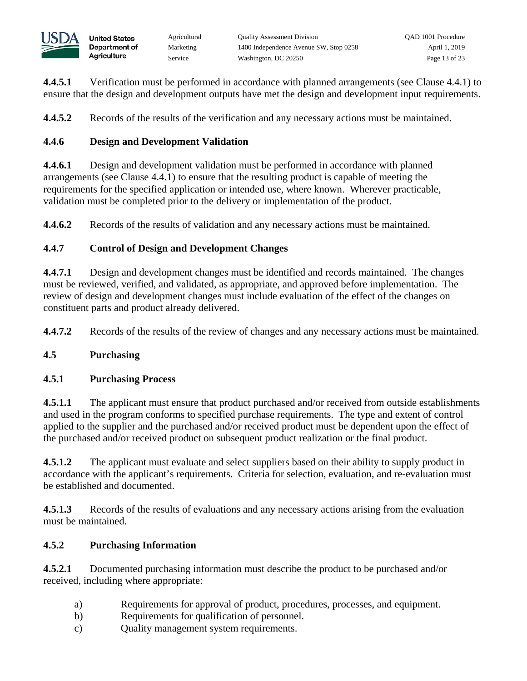**4.4.5.1** Verification must be performed in accordance with planned arrangements (see Clause 4.4.1) to ensure that the design and development outputs have met the design and development input requirements.

**4.4.5.2** Records of the results of the verification and any necessary actions must be maintained.

# **4.4.6 Design and Development Validation**

**4.4.6.1** Design and development validation must be performed in accordance with planned arrangements (see Clause 4.4.1) to ensure that the resulting product is capable of meeting the requirements for the specified application or intended use, where known. Wherever practicable, validation must be completed prior to the delivery or implementation of the product.

**4.4.6.2** Records of the results of validation and any necessary actions must be maintained.

# **4.4.7 Control of Design and Development Changes**

**4.4.7.1** Design and development changes must be identified and records maintained. The changes must be reviewed, verified, and validated, as appropriate, and approved before implementation. The review of design and development changes must include evaluation of the effect of the changes on constituent parts and product already delivered.

**4.4.7.2** Records of the results of the review of changes and any necessary actions must be maintained.

## **4.5 Purchasing**

## **4.5.1 Purchasing Process**

**4.5.1.1** The applicant must ensure that product purchased and/or received from outside establishments and used in the program conforms to specified purchase requirements. The type and extent of control applied to the supplier and the purchased and/or received product must be dependent upon the effect of the purchased and/or received product on subsequent product realization or the final product.

**4.5.1.2** The applicant must evaluate and select suppliers based on their ability to supply product in accordance with the applicant's requirements. Criteria for selection, evaluation, and re-evaluation must be established and documented.

**4.5.1.3** Records of the results of evaluations and any necessary actions arising from the evaluation must be maintained.

# **4.5.2 Purchasing Information**

**4.5.2.1** Documented purchasing information must describe the product to be purchased and/or received, including where appropriate:

- a) Requirements for approval of product, procedures, processes, and equipment.
- b) Requirements for qualification of personnel.
- c) Quality management system requirements.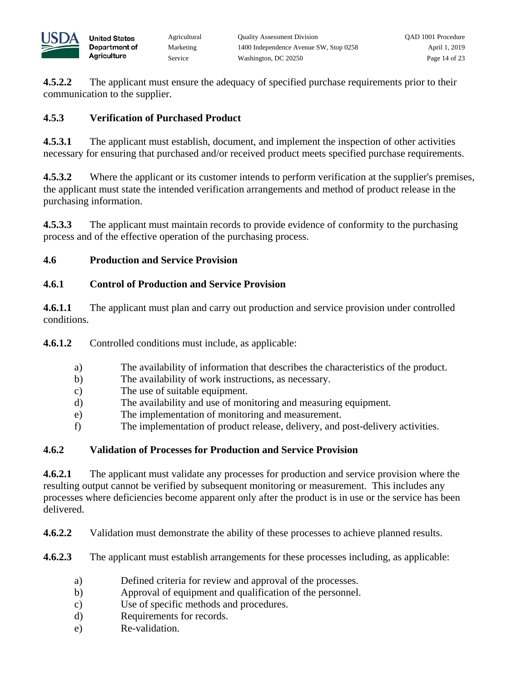

**4.5.2.2** The applicant must ensure the adequacy of specified purchase requirements prior to their communication to the supplier.

## **4.5.3 Verification of Purchased Product**

**United States** Department of Agriculture

**4.5.3.1** The applicant must establish, document, and implement the inspection of other activities necessary for ensuring that purchased and/or received product meets specified purchase requirements.

**4.5.3.2** Where the applicant or its customer intends to perform verification at the supplier's premises, the applicant must state the intended verification arrangements and method of product release in the purchasing information.

**4.5.3.3** The applicant must maintain records to provide evidence of conformity to the purchasing process and of the effective operation of the purchasing process.

## **4.6 Production and Service Provision**

### **4.6.1 Control of Production and Service Provision**

**4.6.1.1** The applicant must plan and carry out production and service provision under controlled conditions.

**4.6.1.2** Controlled conditions must include, as applicable:

- a) The availability of information that describes the characteristics of the product.
- b) The availability of work instructions, as necessary.
- c) The use of suitable equipment.
- d) The availability and use of monitoring and measuring equipment.
- e) The implementation of monitoring and measurement.
- f) The implementation of product release, delivery, and post-delivery activities.

## **4.6.2 Validation of Processes for Production and Service Provision**

**4.6.2.1** The applicant must validate any processes for production and service provision where the resulting output cannot be verified by subsequent monitoring or measurement. This includes any processes where deficiencies become apparent only after the product is in use or the service has been delivered.

**4.6.2.2** Validation must demonstrate the ability of these processes to achieve planned results.

**4.6.2.3** The applicant must establish arrangements for these processes including, as applicable:

- a) Defined criteria for review and approval of the processes.
- b) Approval of equipment and qualification of the personnel.
- c) Use of specific methods and procedures.
- d) Requirements for records.
- e) Re-validation.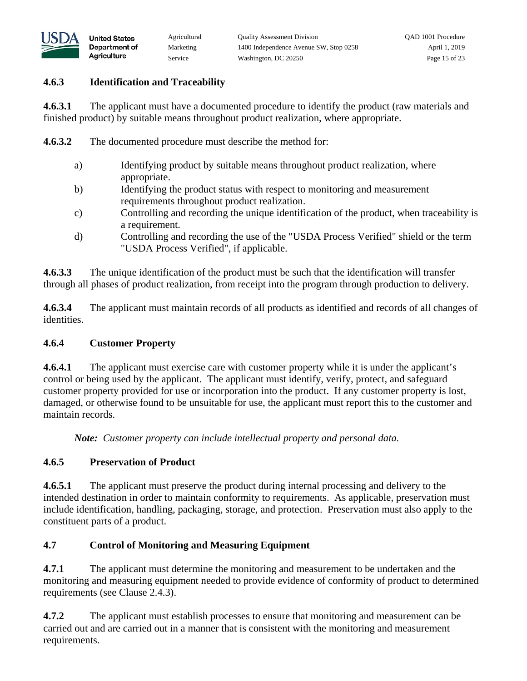

### **4.6.3 Identification and Traceability**

**United States** Department of Agriculture

**4.6.3.1** The applicant must have a documented procedure to identify the product (raw materials and finished product) by suitable means throughout product realization, where appropriate.

**4.6.3.2** The documented procedure must describe the method for:

- a) Identifying product by suitable means throughout product realization, where appropriate.
- b) Identifying the product status with respect to monitoring and measurement requirements throughout product realization.
- c) Controlling and recording the unique identification of the product, when traceability is a requirement.
- d) Controlling and recording the use of the "USDA Process Verified" shield or the term "USDA Process Verified", if applicable.

**4.6.3.3** The unique identification of the product must be such that the identification will transfer through all phases of product realization, from receipt into the program through production to delivery.

**4.6.3.4** The applicant must maintain records of all products as identified and records of all changes of identities.

### **4.6.4 Customer Property**

**4.6.4.1** The applicant must exercise care with customer property while it is under the applicant's control or being used by the applicant. The applicant must identify, verify, protect, and safeguard customer property provided for use or incorporation into the product. If any customer property is lost, damaged, or otherwise found to be unsuitable for use, the applicant must report this to the customer and maintain records.

*Note: Customer property can include intellectual property and personal data.* 

## **4.6.5 Preservation of Product**

**4.6.5.1** The applicant must preserve the product during internal processing and delivery to the intended destination in order to maintain conformity to requirements. As applicable, preservation must include identification, handling, packaging, storage, and protection. Preservation must also apply to the constituent parts of a product.

## **4.7 Control of Monitoring and Measuring Equipment**

**4.7.1** The applicant must determine the monitoring and measurement to be undertaken and the monitoring and measuring equipment needed to provide evidence of conformity of product to determined requirements (see Clause 2.4.3).

**4.7.2** The applicant must establish processes to ensure that monitoring and measurement can be carried out and are carried out in a manner that is consistent with the monitoring and measurement requirements.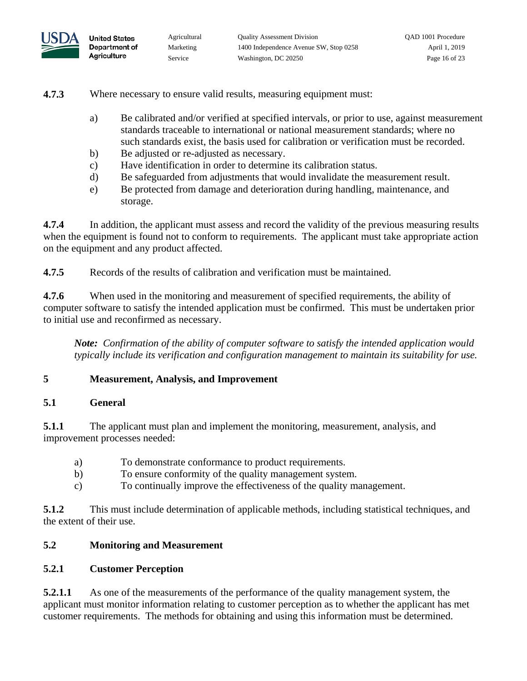

**4.7.3** Where necessary to ensure valid results, measuring equipment must:

- a) Be calibrated and/or verified at specified intervals, or prior to use, against measurement standards traceable to international or national measurement standards; where no such standards exist, the basis used for calibration or verification must be recorded.
- b) Be adjusted or re-adjusted as necessary.
- c) Have identification in order to determine its calibration status.
- d) Be safeguarded from adjustments that would invalidate the measurement result.
- e) Be protected from damage and deterioration during handling, maintenance, and storage.

**4.7.4** In addition, the applicant must assess and record the validity of the previous measuring results when the equipment is found not to conform to requirements. The applicant must take appropriate action on the equipment and any product affected.

**4.7.5** Records of the results of calibration and verification must be maintained.

**4.7.6** When used in the monitoring and measurement of specified requirements, the ability of computer software to satisfy the intended application must be confirmed. This must be undertaken prior to initial use and reconfirmed as necessary.

*Note: Confirmation of the ability of computer software to satisfy the intended application would typically include its verification and configuration management to maintain its suitability for use.*

### **5 Measurement, Analysis, and Improvement**

#### **5.1 General**

**5.1.1** The applicant must plan and implement the monitoring, measurement, analysis, and improvement processes needed:

- a) To demonstrate conformance to product requirements.
- b) To ensure conformity of the quality management system.
- c) To continually improve the effectiveness of the quality management.

**5.1.2** This must include determination of applicable methods, including statistical techniques, and the extent of their use.

### **5.2 Monitoring and Measurement**

### **5.2.1 Customer Perception**

**5.2.1.1** As one of the measurements of the performance of the quality management system, the applicant must monitor information relating to customer perception as to whether the applicant has met customer requirements. The methods for obtaining and using this information must be determined.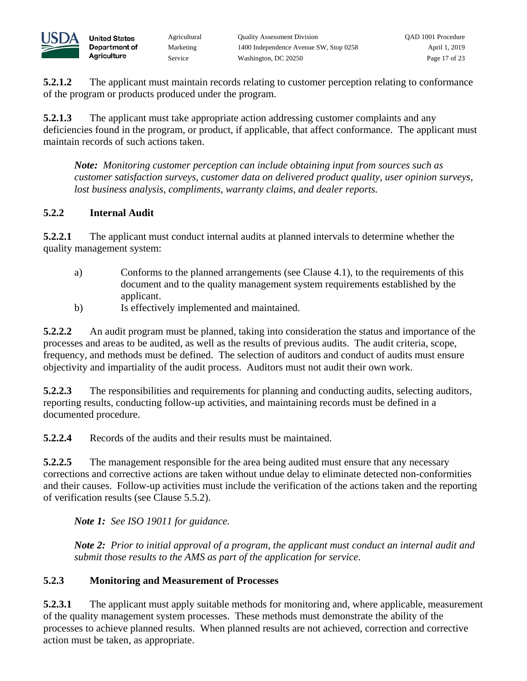

**5.2.1.2** The applicant must maintain records relating to customer perception relating to conformance of the program or products produced under the program.

**5.2.1.3** The applicant must take appropriate action addressing customer complaints and any deficiencies found in the program, or product, if applicable, that affect conformance. The applicant must maintain records of such actions taken.

*Note: Monitoring customer perception can include obtaining input from sources such as customer satisfaction surveys, customer data on delivered product quality, user opinion surveys, lost business analysis, compliments, warranty claims, and dealer reports.* 

### **5.2.2 Internal Audit**

**United States** Department of Agriculture

**5.2.2.1** The applicant must conduct internal audits at planned intervals to determine whether the quality management system:

- a) Conforms to the planned arrangements (see Clause 4.1), to the requirements of this document and to the quality management system requirements established by the applicant.
- b) Is effectively implemented and maintained.

**5.2.2.2** An audit program must be planned, taking into consideration the status and importance of the processes and areas to be audited, as well as the results of previous audits. The audit criteria, scope, frequency, and methods must be defined. The selection of auditors and conduct of audits must ensure objectivity and impartiality of the audit process. Auditors must not audit their own work.

**5.2.2.3** The responsibilities and requirements for planning and conducting audits, selecting auditors, reporting results, conducting follow-up activities, and maintaining records must be defined in a documented procedure.

**5.2.2.4** Records of the audits and their results must be maintained.

**5.2.2.5** The management responsible for the area being audited must ensure that any necessary corrections and corrective actions are taken without undue delay to eliminate detected non-conformities and their causes. Follow-up activities must include the verification of the actions taken and the reporting of verification results (see Clause 5.5.2).

*Note 1: See ISO 19011 for guidance.* 

*Note 2: Prior to initial approval of a program, the applicant must conduct an internal audit and submit those results to the AMS as part of the application for service.*

### **5.2.3 Monitoring and Measurement of Processes**

**5.2.3.1** The applicant must apply suitable methods for monitoring and, where applicable, measurement of the quality management system processes. These methods must demonstrate the ability of the processes to achieve planned results. When planned results are not achieved, correction and corrective action must be taken, as appropriate.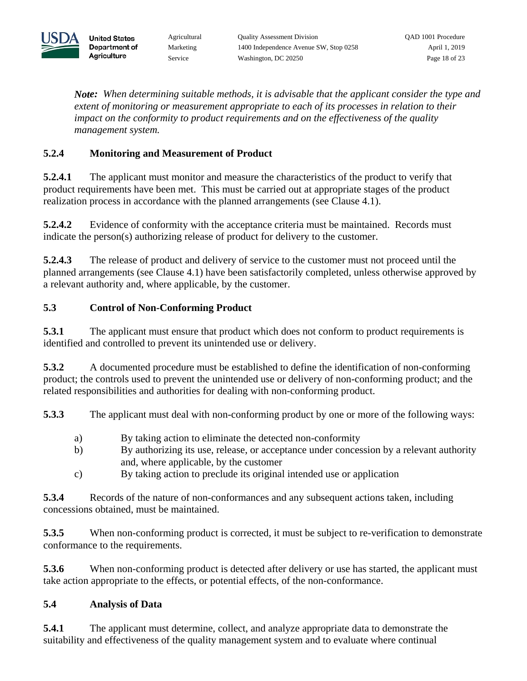

*Note: When determining suitable methods, it is advisable that the applicant consider the type and extent of monitoring or measurement appropriate to each of its processes in relation to their impact on the conformity to product requirements and on the effectiveness of the quality management system.*

# **5.2.4 Monitoring and Measurement of Product**

**5.2.4.1** The applicant must monitor and measure the characteristics of the product to verify that product requirements have been met. This must be carried out at appropriate stages of the product realization process in accordance with the planned arrangements (see Clause 4.1).

**5.2.4.2** Evidence of conformity with the acceptance criteria must be maintained. Records must indicate the person(s) authorizing release of product for delivery to the customer.

**5.2.4.3** The release of product and delivery of service to the customer must not proceed until the planned arrangements (see Clause 4.1) have been satisfactorily completed, unless otherwise approved by a relevant authority and, where applicable, by the customer.

# **5.3 Control of Non-Conforming Product**

**5.3.1** The applicant must ensure that product which does not conform to product requirements is identified and controlled to prevent its unintended use or delivery.

**5.3.2** A documented procedure must be established to define the identification of non-conforming product; the controls used to prevent the unintended use or delivery of non-conforming product; and the related responsibilities and authorities for dealing with non-conforming product.

**5.3.3** The applicant must deal with non-conforming product by one or more of the following ways:

- a) By taking action to eliminate the detected non-conformity
- b) By authorizing its use, release, or acceptance under concession by a relevant authority and, where applicable, by the customer
- c) By taking action to preclude its original intended use or application

**5.3.4** Records of the nature of non-conformances and any subsequent actions taken, including concessions obtained, must be maintained.

**5.3.5** When non-conforming product is corrected, it must be subject to re-verification to demonstrate conformance to the requirements.

**5.3.6** When non-conforming product is detected after delivery or use has started, the applicant must take action appropriate to the effects, or potential effects, of the non-conformance.

## **5.4 Analysis of Data**

**5.4.1** The applicant must determine, collect, and analyze appropriate data to demonstrate the suitability and effectiveness of the quality management system and to evaluate where continual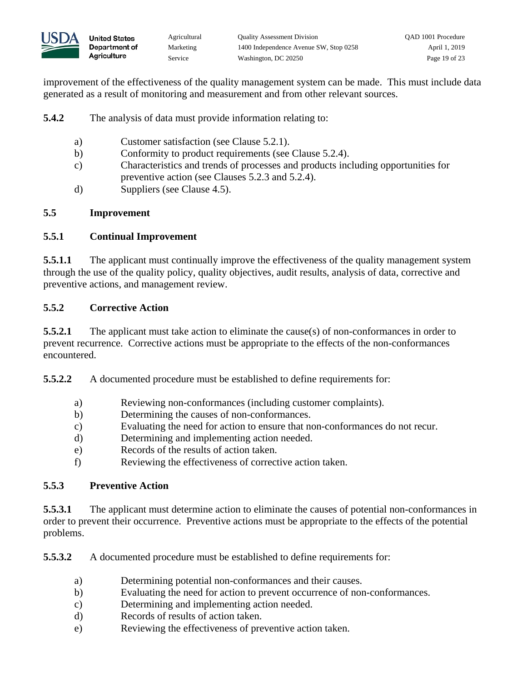

improvement of the effectiveness of the quality management system can be made. This must include data generated as a result of monitoring and measurement and from other relevant sources.

**5.4.2** The analysis of data must provide information relating to:

- a) Customer satisfaction (see Clause 5.2.1).
- b) Conformity to product requirements (see Clause 5.2.4).
- c) Characteristics and trends of processes and products including opportunities for preventive action (see Clauses 5.2.3 and 5.2.4).
- d) Suppliers (see Clause 4.5).

### **5.5 Improvement**

### **5.5.1 Continual Improvement**

**United States** Department of Agriculture

**5.5.1.1** The applicant must continually improve the effectiveness of the quality management system through the use of the quality policy, quality objectives, audit results, analysis of data, corrective and preventive actions, and management review.

### **5.5.2 Corrective Action**

**5.5.2.1** The applicant must take action to eliminate the cause(s) of non-conformances in order to prevent recurrence. Corrective actions must be appropriate to the effects of the non-conformances encountered.

**5.5.2.2** A documented procedure must be established to define requirements for:

- a) Reviewing non-conformances (including customer complaints).
- b) Determining the causes of non-conformances.
- c) Evaluating the need for action to ensure that non-conformances do not recur.
- d) Determining and implementing action needed.
- e) Records of the results of action taken.
- f) Reviewing the effectiveness of corrective action taken.

## **5.5.3 Preventive Action**

**5.5.3.1** The applicant must determine action to eliminate the causes of potential non-conformances in order to prevent their occurrence. Preventive actions must be appropriate to the effects of the potential problems.

**5.5.3.2** A documented procedure must be established to define requirements for:

- a) Determining potential non-conformances and their causes.
- b) Evaluating the need for action to prevent occurrence of non-conformances.
- c) Determining and implementing action needed.
- d) Records of results of action taken.
- e) Reviewing the effectiveness of preventive action taken.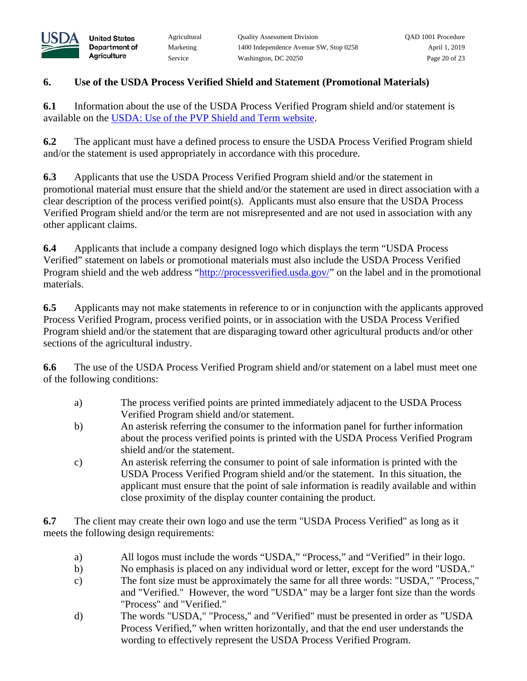

## **6. Use of the USDA Process Verified Shield and Statement (Promotional Materials)**

**6.1** Information about the use of the USDA Process Verified Program shield and/or statement is available on the USDA: [Use of the PVP Shield and Term website.](https://www.ams.usda.gov/services/auditing/pvp-shield)

**6.2** The applicant must have a defined process to ensure the USDA Process Verified Program shield and/or the statement is used appropriately in accordance with this procedure.

**6.3** Applicants that use the USDA Process Verified Program shield and/or the statement in promotional material must ensure that the shield and/or the statement are used in direct association with a clear description of the process verified point(s). Applicants must also ensure that the USDA Process Verified Program shield and/or the term are not misrepresented and are not used in association with any other applicant claims.

**6.4** Applicants that include a company designed logo which displays the term "USDA Process Verified" statement on labels or promotional materials must also include the USDA Process Verified Program shield and the web address ["http://processverified.usda.gov/"](http://processverified.usda.gov/) on the label and in the promotional materials.

**6.5** Applicants may not make statements in reference to or in conjunction with the applicants approved Process Verified Program, process verified points, or in association with the USDA Process Verified Program shield and/or the statement that are disparaging toward other agricultural products and/or other sections of the agricultural industry.

**6.6** The use of the USDA Process Verified Program shield and/or statement on a label must meet one of the following conditions:

- a) The process verified points are printed immediately adjacent to the USDA Process Verified Program shield and/or statement.
- b) An asterisk referring the consumer to the information panel for further information about the process verified points is printed with the USDA Process Verified Program shield and/or the statement.
- c) An asterisk referring the consumer to point of sale information is printed with the USDA Process Verified Program shield and/or the statement. In this situation, the applicant must ensure that the point of sale information is readily available and within close proximity of the display counter containing the product.

**6.7** The client may create their own logo and use the term "USDA Process Verified" as long as it meets the following design requirements:

- a) All logos must include the words "USDA," "Process," and "Verified" in their logo.
- b) No emphasis is placed on any individual word or letter, except for the word "USDA."
- c) The font size must be approximately the same for all three words: "USDA," "Process," and "Verified." However, the word "USDA" may be a larger font size than the words "Process" and "Verified."
- d) The words "USDA," "Process," and "Verified" must be presented in order as "USDA Process Verified," when written horizontally, and that the end user understands the wording to effectively represent the USDA Process Verified Program.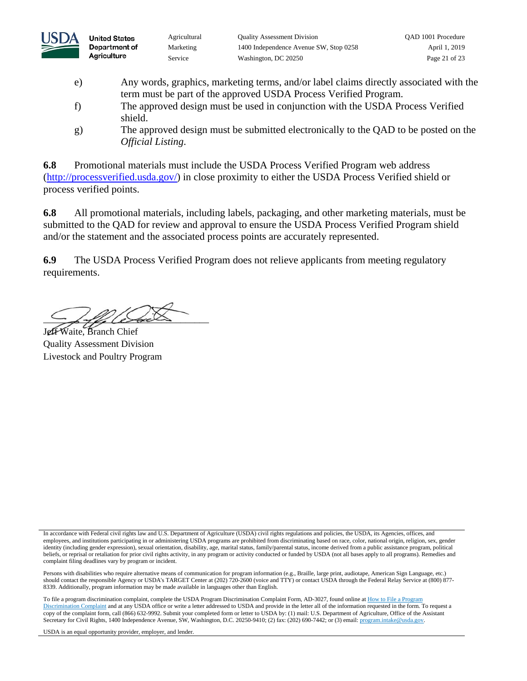

- e) Any words, graphics, marketing terms, and/or label claims directly associated with the term must be part of the approved USDA Process Verified Program.
- f) The approved design must be used in conjunction with the USDA Process Verified shield.
- g) The approved design must be submitted electronically to the QAD to be posted on the *Official Listing*.

**6.8** Promotional materials must include the USDA Process Verified Program web address [\(http://processverified.usda.gov/\)](http://processverified.usda.gov/) in close proximity to either the USDA Process Verified shield or process verified points.

**6.8** All promotional materials, including labels, packaging, and other marketing materials, must be submitted to the QAD for review and approval to ensure the USDA Process Verified Program shield and/or the statement and the associated process points are accurately represented.

**6.9** The USDA Process Verified Program does not relieve applicants from meeting regulatory requirements.

 $-$  for levels

Jeff Waite, Branch Chief Quality Assessment Division Livestock and Poultry Program

In accordance with Federal civil rights law and U.S. Department of Agriculture (USDA) civil rights regulations and policies, the USDA, its Agencies, offices, and employees, and institutions participating in or administering USDA programs are prohibited from discriminating based on race, color, national origin, religion, sex, gender identity (including gender expression), sexual orientation, disability, age, marital status, family/parental status, income derived from a public assistance program, political beliefs, or reprisal or retaliation for prior civil rights activity, in any program or activity conducted or funded by USDA (not all bases apply to all programs). Remedies and complaint filing deadlines vary by program or incident.

Persons with disabilities who require alternative means of communication for program information (e.g., Braille, large print, audiotape, American Sign Language, etc.) should contact the responsible Agency or USDA's TARGET Center at (202) 720-2600 (voice and TTY) or contact USDA through the Federal Relay Service at (800) 877- 8339. Additionally, program information may be made available in languages other than English.

To file a program discrimination complaint, complete the USDA Program Discrimination Complaint Form, AD-3027, found online at How to File a Program [Discrimination Complaint](https://www.ascr.usda.gov/how-file-program-discrimination-complaint) and at any USDA office or write a letter addressed to USDA and provide in the letter all of the information requested in the form. To request a copy of the complaint form, call (866) 632-9992. Submit your completed form or letter to USDA by: (1) mail: U.S. Department of Agriculture, Office of the Assistant Secretary for Civil Rights, 1400 Independence Avenue, SW, Washington, D.C. 20250-9410; (2) fax: (202) 690-7442; or (3) email: program.intake@usda.gov.

USDA is an equal opportunity provider, employer, and lender.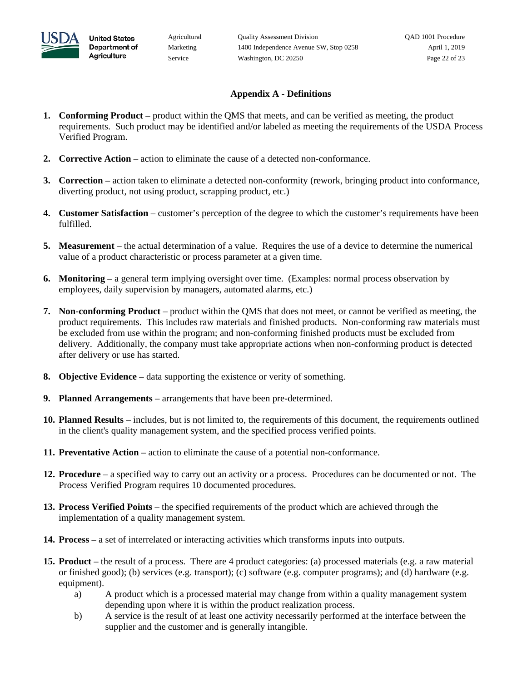

**United States** 

Agriculture

#### **Appendix A - Definitions**

- **1. Conforming Product** product within the QMS that meets, and can be verified as meeting, the product requirements. Such product may be identified and/or labeled as meeting the requirements of the USDA Process Verified Program.
- **2. Corrective Action** action to eliminate the cause of a detected non-conformance.
- **3. Correction** action taken to eliminate a detected non-conformity (rework, bringing product into conformance, diverting product, not using product, scrapping product, etc.)
- **4. Customer Satisfaction** customer's perception of the degree to which the customer's requirements have been fulfilled.
- **5. Measurement** the actual determination of a value. Requires the use of a device to determine the numerical value of a product characteristic or process parameter at a given time.
- **6. Monitoring** a general term implying oversight over time. (Examples: normal process observation by employees, daily supervision by managers, automated alarms, etc.)
- **7. Non-conforming Product** product within the QMS that does not meet, or cannot be verified as meeting, the product requirements. This includes raw materials and finished products. Non-conforming raw materials must be excluded from use within the program; and non-conforming finished products must be excluded from delivery. Additionally, the company must take appropriate actions when non-conforming product is detected after delivery or use has started.
- **8. Objective Evidence** data supporting the existence or verity of something.
- **9. Planned Arrangements** arrangements that have been pre-determined.
- **10. Planned Results** includes, but is not limited to, the requirements of this document, the requirements outlined in the client's quality management system, and the specified process verified points.
- **11. Preventative Action** action to eliminate the cause of a potential non-conformance.
- **12. Procedure** a specified way to carry out an activity or a process. Procedures can be documented or not. The Process Verified Program requires 10 documented procedures.
- **13. Process Verified Points** the specified requirements of the product which are achieved through the implementation of a quality management system.
- **14. Process** a set of interrelated or interacting activities which transforms inputs into outputs.
- **15. Product** the result of a process. There are 4 product categories: (a) processed materials (e.g. a raw material or finished good); (b) services (e.g. transport); (c) software (e.g. computer programs); and (d) hardware (e.g. equipment).
	- a) A product which is a processed material may change from within a quality management system depending upon where it is within the product realization process.
	- b) A service is the result of at least one activity necessarily performed at the interface between the supplier and the customer and is generally intangible.